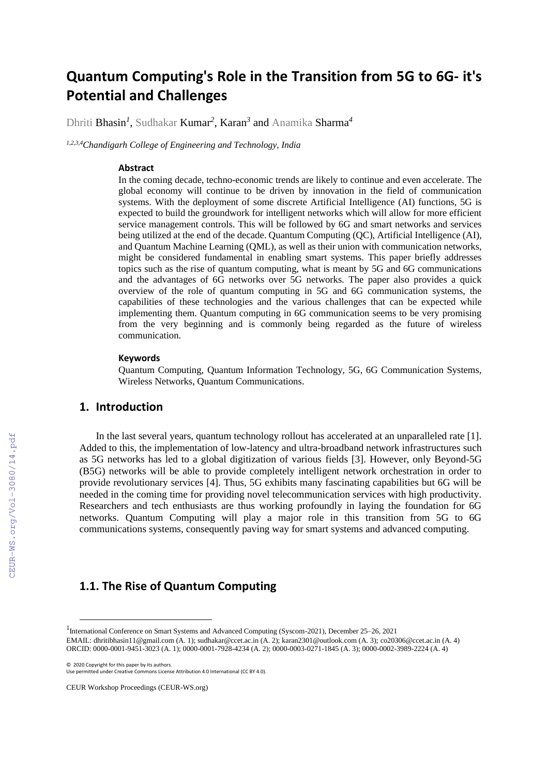# **Quantum Computing's Role in the Transition from 5G to 6G- it's Potential and Challenges**

Dhriti Bhasin*<sup>1</sup>* , Sudhakar Kumar*<sup>2</sup>* , Karan*<sup>3</sup>* and Anamika Sharma*<sup>4</sup>*

*1,2,3,4Chandigarh College of Engineering and Technology, India* 

#### **Abstract**

In the coming decade, techno-economic trends are likely to continue and even accelerate. The global economy will continue to be driven by innovation in the field of communication systems. With the deployment of some discrete Artificial Intelligence (AI) functions, 5G is expected to build the groundwork for intelligent networks which will allow for more efficient service management controls. This will be followed by 6G and smart networks and services being utilized at the end of the decade. Quantum Computing (QC), Artificial Intelligence (AI), and Quantum Machine Learning (QML), as well as their union with communication networks, might be considered fundamental in enabling smart systems. This paper briefly addresses topics such as the rise of quantum computing, what is meant by 5G and 6G communications and the advantages of 6G networks over 5G networks. The paper also provides a quick overview of the role of quantum computing in 5G and 6G communication systems, the capabilities of these technologies and the various challenges that can be expected while implementing them. Quantum computing in 6G communication seems to be very promising from the very beginning and is commonly being regarded as the future of wireless communication.

#### **Keywords**

Quantum Computing, Quantum Information Technology, 5G, 6G Communication Systems, Wireless Networks, Quantum Communications.

#### **1. Introduction**

In the last several years, quantum technology rollout has accelerated at an unparalleled rate [1]. Added to this, the implementation of low-latency and ultra-broadband network infrastructures such as 5G networks has led to a global digitization of various fields [3]. However, only Beyond-5G (B5G) networks will be able to provide completely intelligent network orchestration in order to provide revolutionary services [4]. Thus, 5G exhibits many fascinating capabilities but 6G will be needed in the coming time for providing novel telecommunication services with high productivity. Researchers and tech enthusiasts are thus working profoundly in laying the foundation for 6G networks. Quantum Computing will play a major role in this transition from 5G to 6G communications systems, consequently paving way for smart systems and advanced computing.

## **1.1. The Rise of Quantum Computing**

<sup>1</sup> International Conference on Smart Systems and Advanced Computing (Syscom-2021), December 25–26, 2021 EMAIL: dhritibhasin11@gmail.com (A. 1); sudhakar@ccet.ac.in (A. 2); karan2301@outlook.com (A. 3); [co20306@ccet.ac.in](mailto:co20306@ccet.ac.in) (A. 4) ORCID: 0000-0001-9451-3023 (A. 1); 0000-0001-7928-4234 (A. 2); 0000-0003-0271-1845 (A. 3); 0000-0002-3989-2224 (A. 4)

<sup>©️</sup> 2020 Copyright for this paper by its authors.

Use permitted under Creative Commons License Attribution 4.0 International (CC BY 4.0).

CEUR Workshop Proceedings (CEUR-WS.org)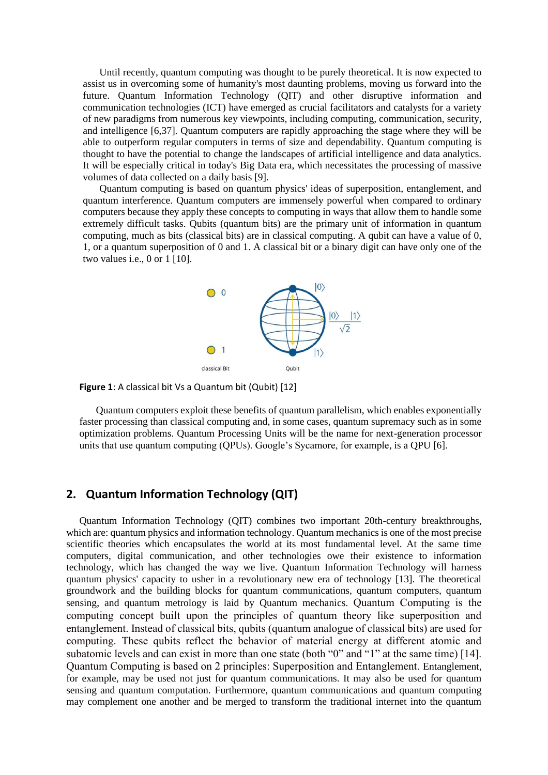Until recently, quantum computing was thought to be purely theoretical. It is now expected to assist us in overcoming some of humanity's most daunting problems, moving us forward into the future. Quantum Information Technology (QIT) and other disruptive information and communication technologies (ICT) have emerged as crucial facilitators and catalysts for a variety of new paradigms from numerous key viewpoints, including computing, communication, security, and intelligence [6,37]. Quantum computers are rapidly approaching the stage where they will be able to outperform regular computers in terms of size and dependability. Quantum computing is thought to have the potential to change the landscapes of artificial intelligence and data analytics. It will be especially critical in today's Big Data era, which necessitates the processing of massive volumes of data collected on a daily basis [9].

Quantum computing is based on quantum physics' ideas of superposition, entanglement, and quantum interference. Quantum computers are immensely powerful when compared to ordinary computers because they apply these concepts to computing in ways that allow them to handle some extremely difficult tasks. Qubits (quantum bits) are the primary unit of information in quantum computing, much as bits (classical bits) are in classical computing. A qubit can have a value of 0, 1, or a quantum superposition of 0 and 1. A classical bit or a binary digit can have only one of the two values i.e., 0 or 1 [10].



**Figure 1**: A classical bit Vs a Quantum bit (Qubit) [12]

Quantum computers exploit these benefits of quantum parallelism, which enables exponentially faster processing than classical computing and, in some cases, quantum supremacy such as in some optimization problems. Quantum Processing Units will be the name for next-generation processor units that use quantum computing (QPUs). Google's Sycamore, for example, is a QPU [6].

#### **2. Quantum Information Technology (QIT)**

Quantum Information Technology (QIT) combines two important 20th-century breakthroughs, which are: quantum physics and information technology. Quantum mechanics is one of the most precise scientific theories which encapsulates the world at its most fundamental level. At the same time computers, digital communication, and other technologies owe their existence to information technology, which has changed the way we live. Quantum Information Technology will harness quantum physics' capacity to usher in a revolutionary new era of technology [13]. The theoretical groundwork and the building blocks for quantum communications, quantum computers, quantum sensing, and quantum metrology is laid by Quantum mechanics. Quantum Computing is the computing concept built upon the principles of quantum theory like superposition and entanglement. Instead of classical bits, qubits (quantum analogue of classical bits) are used for computing. These qubits reflect the behavior of material energy at different atomic and subatomic levels and can exist in more than one state (both "0" and "1" at the same time) [14]. Quantum Computing is based on 2 principles: Superposition and Entanglement. Entanglement, for example, may be used not just for quantum communications. It may also be used for quantum sensing and quantum computation. Furthermore, quantum communications and quantum computing may complement one another and be merged to transform the traditional internet into the quantum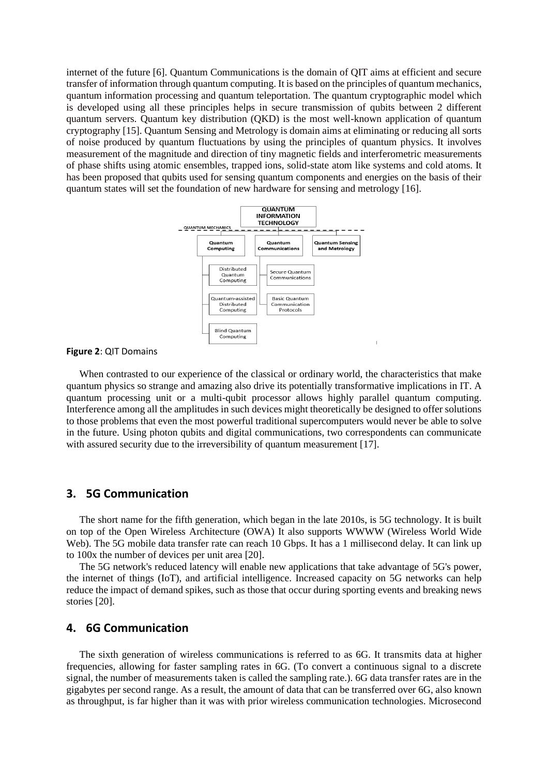internet of the future [6]. Quantum Communications is the domain of QIT aims at efficient and secure transfer of information through quantum computing. It is based on the principles of quantum mechanics, quantum information processing and quantum teleportation. The quantum cryptographic model which is developed using all these principles helps in secure transmission of qubits between 2 different quantum servers. Quantum key distribution (QKD) is the most well-known application of quantum cryptography [15]. Quantum Sensing and Metrology is domain aims at eliminating or reducing all sorts of noise produced by quantum fluctuations by using the principles of quantum physics. It involves measurement of the magnitude and direction of tiny magnetic fields and interferometric measurements of phase shifts using atomic ensembles, trapped ions, solid-state atom like systems and cold atoms. It has been proposed that qubits used for sensing quantum components and energies on the basis of their quantum states will set the foundation of new hardware for sensing and metrology [16].



**Figure 2**: QIT Domains

When contrasted to our experience of the classical or ordinary world, the characteristics that make quantum physics so strange and amazing also drive its potentially transformative implications in IT. A quantum processing unit or a multi-qubit processor allows highly parallel quantum computing. Interference among all the amplitudes in such devices might theoretically be designed to offer solutions to those problems that even the most powerful traditional supercomputers would never be able to solve in the future. Using photon qubits and digital communications, two correspondents can communicate with assured security due to the irreversibility of quantum measurement [17].

 $\overline{1}$ 

#### **3. 5G Communication**

The short name for the fifth generation, which began in the late 2010s, is 5G technology. It is built on top of the Open Wireless Architecture (OWA) It also supports WWWW (Wireless World Wide Web). The 5G mobile data transfer rate can reach 10 Gbps. It has a 1 millisecond delay. It can link up to 100x the number of devices per unit area [20].

The 5G network's reduced latency will enable new applications that take advantage of 5G's power, the internet of things (IoT), and artificial intelligence. Increased capacity on 5G networks can help reduce the impact of demand spikes, such as those that occur during sporting events and breaking news stories [20].

#### **4. 6G Communication**

The sixth generation of wireless communications is referred to as 6G. It transmits data at higher frequencies, allowing for faster sampling rates in 6G. (To convert a continuous signal to a discrete signal, the number of measurements taken is called the sampling rate.). 6G data transfer rates are in the gigabytes per second range. As a result, the amount of data that can be transferred over 6G, also known as throughput, is far higher than it was with prior wireless communication technologies. Microsecond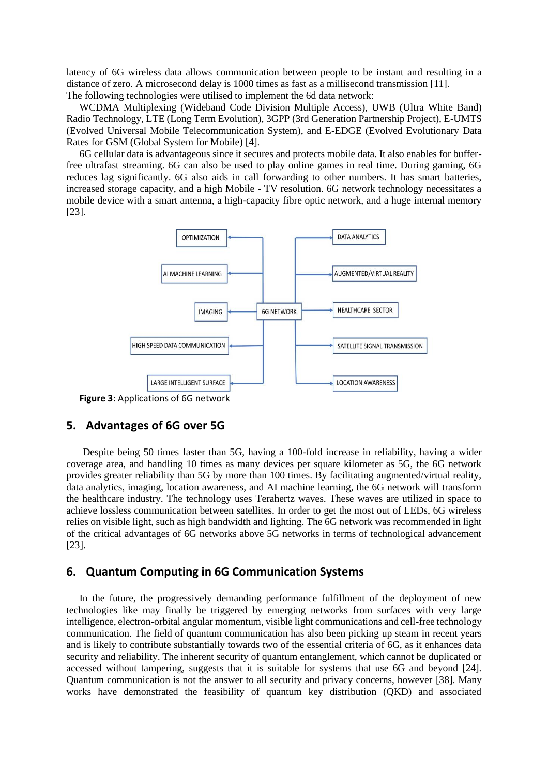latency of 6G wireless data allows communication between people to be instant and resulting in a distance of zero. A microsecond delay is 1000 times as fast as a millisecond transmission [11]. The following technologies were utilised to implement the 6d data network:

WCDMA Multiplexing (Wideband Code Division Multiple Access), UWB (Ultra White Band) Radio Technology, LTE (Long Term Evolution), 3GPP (3rd Generation Partnership Project), E-UMTS (Evolved Universal Mobile Telecommunication System), and E-EDGE (Evolved Evolutionary Data Rates for GSM (Global System for Mobile) [4].

6G cellular data is advantageous since it secures and protects mobile data. It also enables for bufferfree ultrafast streaming. 6G can also be used to play online games in real time. During gaming, 6G reduces lag significantly. 6G also aids in call forwarding to other numbers. It has smart batteries, increased storage capacity, and a high Mobile - TV resolution. 6G network technology necessitates a mobile device with a smart antenna, a high-capacity fibre optic network, and a huge internal memory [23].



**Figure 3**: Applications of 6G network

#### **5. Advantages of 6G over 5G**

Despite being 50 times faster than 5G, having a 100-fold increase in reliability, having a wider coverage area, and handling 10 times as many devices per square kilometer as 5G, the 6G network provides greater reliability than 5G by more than 100 times. By facilitating augmented/virtual reality, data analytics, imaging, location awareness, and AI machine learning, the 6G network will transform the healthcare industry. The technology uses Terahertz waves. These waves are utilized in space to achieve lossless communication between satellites. In order to get the most out of LEDs, 6G wireless relies on visible light, such as high bandwidth and lighting. The 6G network was recommended in light of the critical advantages of 6G networks above 5G networks in terms of technological advancement [23].

#### **6. Quantum Computing in 6G Communication Systems**

In the future, the progressively demanding performance fulfillment of the deployment of new technologies like may finally be triggered by emerging networks from surfaces with very large intelligence, electron-orbital angular momentum, visible light communications and cell-free technology communication. The field of quantum communication has also been picking up steam in recent years and is likely to contribute substantially towards two of the essential criteria of 6G, as it enhances data security and reliability. The inherent security of quantum entanglement, which cannot be duplicated or accessed without tampering, suggests that it is suitable for systems that use 6G and beyond [24]. Quantum communication is not the answer to all security and privacy concerns, however [38]. Many works have demonstrated the feasibility of quantum key distribution (QKD) and associated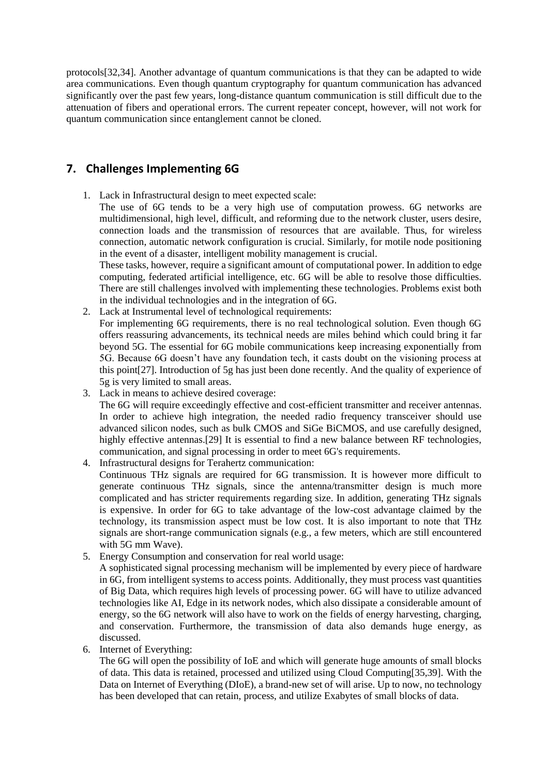protocols[32,34]. Another advantage of quantum communications is that they can be adapted to wide area communications. Even though quantum cryptography for quantum communication has advanced significantly over the past few years, long-distance quantum communication is still difficult due to the attenuation of fibers and operational errors. The current repeater concept, however, will not work for quantum communication since entanglement cannot be cloned.

## **7. Challenges Implementing 6G**

1. Lack in Infrastructural design to meet expected scale:

The use of 6G tends to be a very high use of computation prowess. 6G networks are multidimensional, high level, difficult, and reforming due to the network cluster, users desire, connection loads and the transmission of resources that are available. Thus, for wireless connection, automatic network configuration is crucial. Similarly, for motile node positioning in the event of a disaster, intelligent mobility management is crucial.

These tasks, however, require a significant amount of computational power. In addition to edge computing, federated artificial intelligence, etc. 6G will be able to resolve those difficulties. There are still challenges involved with implementing these technologies. Problems exist both in the individual technologies and in the integration of 6G.

- 2. Lack at Instrumental level of technological requirements: For implementing 6G requirements, there is no real technological solution. Even though 6G offers reassuring advancements, its technical needs are miles behind which could bring it far beyond 5G. The essential for 6G mobile communications keep increasing exponentially from 5G. Because 6G doesn't have any foundation tech, it casts doubt on the visioning process at this point[27]. Introduction of 5g has just been done recently. And the quality of experience of 5g is very limited to small areas.
- 3. Lack in means to achieve desired coverage: The 6G will require exceedingly effective and cost-efficient transmitter and receiver antennas. In order to achieve high integration, the needed radio frequency transceiver should use advanced silicon nodes, such as bulk CMOS and SiGe BiCMOS, and use carefully designed, highly effective antennas.[29] It is essential to find a new balance between RF technologies, communication, and signal processing in order to meet 6G's requirements.
- 4. Infrastructural designs for Terahertz communication: Continuous THz signals are required for 6G transmission. It is however more difficult to generate continuous THz signals, since the antenna/transmitter design is much more complicated and has stricter requirements regarding size. In addition, generating THz signals is expensive. In order for 6G to take advantage of the low-cost advantage claimed by the technology, its transmission aspect must be low cost. It is also important to note that THz signals are short-range communication signals (e.g., a few meters, which are still encountered with 5G mm Wave).
- 5. Energy Consumption and conservation for real world usage:

A sophisticated signal processing mechanism will be implemented by every piece of hardware in 6G, from intelligent systems to access points. Additionally, they must process vast quantities of Big Data, which requires high levels of processing power. 6G will have to utilize advanced technologies like AI, Edge in its network nodes, which also dissipate a considerable amount of energy, so the 6G network will also have to work on the fields of energy harvesting, charging, and conservation. Furthermore, the transmission of data also demands huge energy, as discussed.

6. Internet of Everything:

The 6G will open the possibility of IoE and which will generate huge amounts of small blocks of data. This data is retained, processed and utilized using Cloud Computing[35,39]. With the Data on Internet of Everything (DIoE), a brand-new set of will arise. Up to now, no technology has been developed that can retain, process, and utilize Exabytes of small blocks of data.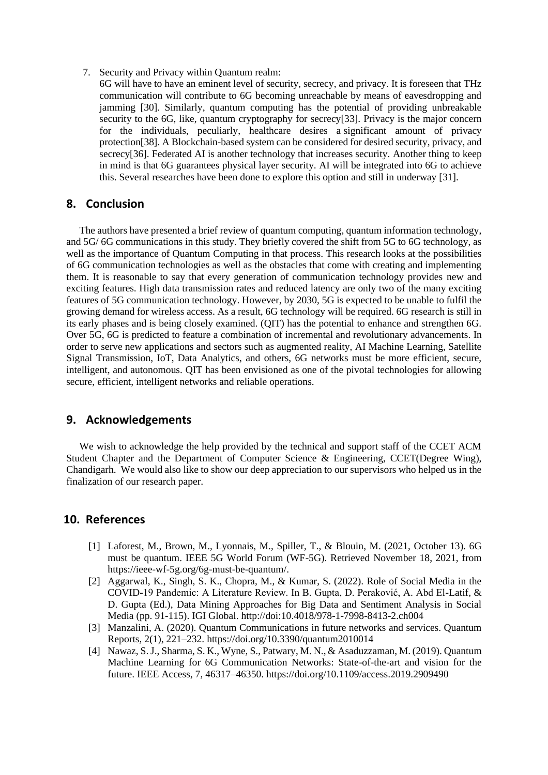- 7. Security and Privacy within Quantum realm:
	- 6G will have to have an eminent level of security, secrecy, and privacy. It is foreseen that THz communication will contribute to 6G becoming unreachable by means of eavesdropping and jamming [30]. Similarly, quantum computing has the potential of providing unbreakable security to the 6G, like, quantum cryptography for secrecy[33]. Privacy is the major concern for the individuals, peculiarly, healthcare desires a significant amount of privacy protection[38]. A Blockchain-based system can be considered for desired security, privacy, and secrecy[36]. Federated AI is another technology that increases security. Another thing to keep in mind is that 6G guarantees physical layer security. AI will be integrated into 6G to achieve this. Several researches have been done to explore this option and still in underway [31].

#### **8. Conclusion**

The authors have presented a brief review of quantum computing, quantum information technology, and 5G/ 6G communications in this study. They briefly covered the shift from 5G to 6G technology, as well as the importance of Quantum Computing in that process. This research looks at the possibilities of 6G communication technologies as well as the obstacles that come with creating and implementing them. It is reasonable to say that every generation of communication technology provides new and exciting features. High data transmission rates and reduced latency are only two of the many exciting features of 5G communication technology. However, by 2030, 5G is expected to be unable to fulfil the growing demand for wireless access. As a result, 6G technology will be required. 6G research is still in its early phases and is being closely examined. (QIT) has the potential to enhance and strengthen 6G. Over 5G, 6G is predicted to feature a combination of incremental and revolutionary advancements. In order to serve new applications and sectors such as augmented reality, AI Machine Learning, Satellite Signal Transmission, IoT, Data Analytics, and others, 6G networks must be more efficient, secure, intelligent, and autonomous. QIT has been envisioned as one of the pivotal technologies for allowing secure, efficient, intelligent networks and reliable operations.

## **9. Acknowledgements**

We wish to acknowledge the help provided by the technical and support staff of the CCET ACM Student Chapter and the Department of Computer Science & Engineering, CCET(Degree Wing), Chandigarh. We would also like to show our deep appreciation to our supervisors who helped us in the finalization of our research paper.

#### **10. References**

- [1] Laforest, M., Brown, M., Lyonnais, M., Spiller, T., & Blouin, M. (2021, October 13). 6G must be quantum. IEEE 5G World Forum (WF-5G). Retrieved November 18, 2021, from https://ieee-wf-5g.org/6g-must-be-quantum/.
- [2] Aggarwal, K., Singh, S. K., Chopra, M., & Kumar, S. (2022). Role of Social Media in the COVID-19 Pandemic: A Literature Review. In B. Gupta, D. Peraković, A. Abd El-Latif, & D. Gupta (Ed.), Data Mining Approaches for Big Data and Sentiment Analysis in Social Media (pp. 91-115). IGI Global. http://doi:10.4018/978-1-7998-8413-2.ch004
- [3] Manzalini, A. (2020). Quantum Communications in future networks and services. Quantum Reports, 2(1), 221–232. https://doi.org/10.3390/quantum2010014
- [4] Nawaz, S. J., Sharma, S. K., Wyne, S., Patwary, M. N., & Asaduzzaman, M. (2019). Quantum Machine Learning for 6G Communication Networks: State-of-the-art and vision for the future. IEEE Access, 7, 46317–46350. https://doi.org/10.1109/access.2019.2909490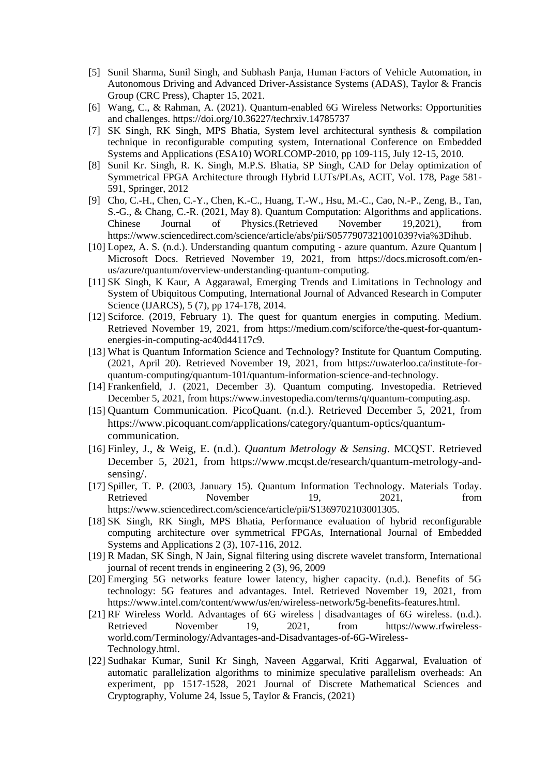- [5] Sunil Sharma, Sunil Singh, and Subhash Panja, Human Factors of Vehicle Automation, in Autonomous Driving and Advanced Driver-Assistance Systems (ADAS), Taylor & Francis Group (CRC Press), Chapter 15, 2021.
- [6] Wang, C., & Rahman, A. (2021). Quantum-enabled 6G Wireless Networks: Opportunities and challenges. https://doi.org/10.36227/techrxiv.14785737
- [7] SK Singh, RK Singh, MPS Bhatia, System level architectural synthesis & compilation technique in reconfigurable computing system, International Conference on Embedded Systems and Applications (ESA10) WORLCOMP-2010, pp 109-115, July 12-15, 2010.
- [8] Sunil Kr. Singh, R. K. Singh, M.P.S. Bhatia, SP Singh, CAD for Delay optimization of Symmetrical FPGA Architecture through Hybrid LUTs/PLAs, ACIT, Vol. 178, Page 581- 591, Springer, 2012
- [9] Cho, C.-H., Chen, C.-Y., Chen, K.-C., Huang, T.-W., Hsu, M.-C., Cao, N.-P., Zeng, B., Tan, S.-G., & Chang, C.-R. (2021, May 8). Quantum Computation: Algorithms and applications. Chinese Journal of Physics.(Retrieved November 19,2021), from https://www.sciencedirect.com/science/article/abs/pii/S0577907321001039?via%3Dihub.
- [10] Lopez, A. S. (n.d.). Understanding quantum computing azure quantum. Azure Quantum | Microsoft Docs. Retrieved November 19, 2021, from https://docs.microsoft.com/enus/azure/quantum/overview-understanding-quantum-computing.
- [11] SK Singh, K Kaur, A Aggarawal, Emerging Trends and Limitations in Technology and System of Ubiquitous Computing, International Journal of Advanced Research in Computer Science (IJARCS), 5 (7), pp 174-178, 2014.
- [12] Sciforce. (2019, February 1). The quest for quantum energies in computing. Medium. Retrieved November 19, 2021, from https://medium.com/sciforce/the-quest-for-quantumenergies-in-computing-ac40d44117c9.
- [13] What is Quantum Information Science and Technology? Institute for Quantum Computing. (2021, April 20). Retrieved November 19, 2021, from https://uwaterloo.ca/institute-forquantum-computing/quantum-101/quantum-information-science-and-technology.
- [14] Frankenfield, J. (2021, December 3). Quantum computing. Investopedia. Retrieved December 5, 2021, from [https://www.investopedia.com/terms/q/quantum-computing.asp.](https://www.investopedia.com/terms/q/quantum-computing.asp)
- [15] Quantum Communication. PicoQuant. (n.d.). Retrieved December 5, 2021, from https://www.picoquant.com/applications/category/quantum-optics/quantumcommunication.
- [16] Finley, J., & Weig, E. (n.d.). *Quantum Metrology & Sensing*. MCQST. Retrieved December 5, 2021, from https://www.mcqst.de/research/quantum-metrology-andsensing/.
- [17] Spiller, T. P. (2003, January 15). Quantum Information Technology. Materials Today. Retrieved November 19, 2021, from https://www.sciencedirect.com/science/article/pii/S1369702103001305.
- [18] SK Singh, RK Singh, MPS Bhatia, Performance evaluation of hybrid reconfigurable computing architecture over symmetrical FPGAs, International Journal of Embedded Systems and Applications 2 (3), 107-116, 2012.
- [19] R Madan, SK Singh, N Jain, Signal filtering using discrete wavelet transform, International journal of recent trends in engineering 2 (3), 96, 2009
- [20] Emerging 5G networks feature lower latency, higher capacity. (n.d.). Benefits of 5G technology: 5G features and advantages. Intel. Retrieved November 19, 2021, from https://www.intel.com/content/www/us/en/wireless-network/5g-benefits-features.html.
- [21] RF Wireless World. Advantages of 6G wireless | disadvantages of 6G wireless. (n.d.). Retrieved November 19, 2021, from https://www.rfwirelessworld.com/Terminology/Advantages-and-Disadvantages-of-6G-Wireless-Technology.html.
- [22] Sudhakar Kumar, Sunil Kr Singh, Naveen Aggarwal, Kriti Aggarwal, Evaluation of automatic parallelization algorithms to minimize speculative parallelism overheads: An experiment, pp 1517-1528, 2021 Journal of Discrete Mathematical Sciences and Cryptography, Volume 24, Issue 5, Taylor & Francis, (2021)